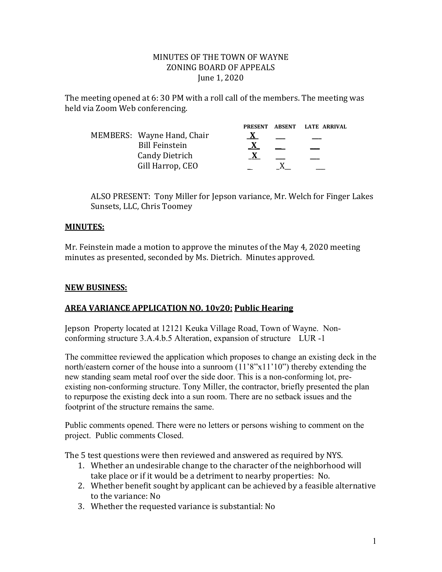#### MINUTES OF THE TOWN OF WAYNE ZONING BOARD OF APPEALS June 1, 2020

The meeting opened at 6: 30 PM with a roll call of the members. The meeting was held via Zoom Web conferencing.

|                            | <b>PRESENT</b> | ABSENT LATE ARRIVAL |
|----------------------------|----------------|---------------------|
| MEMBERS: Wayne Hand, Chair |                |                     |
| <b>Bill Feinstein</b>      |                |                     |
| <b>Candy Dietrich</b>      |                |                     |
| Gill Harrop, CEO           |                |                     |

ALSO PRESENT: Tony Miller for Jepson variance, Mr. Welch for Finger Lakes Sunsets, LLC, Chris Toomey

# **MINUTES:**

Mr. Feinstein made a motion to approve the minutes of the May 4, 2020 meeting minutes as presented, seconded by Ms. Dietrich. Minutes approved.

# **NEW BUSINESS:**

### **AREA VARIANCE APPLICATION NO. 10v20: Public Hearing**

Jepson Property located at 12121 Keuka Village Road, Town of Wayne. Nonconforming structure 3.A.4.b.5 Alteration, expansion of structure LUR -1

The committee reviewed the application which proposes to change an existing deck in the north/eastern corner of the house into a sunroom  $(11'8"x11'10")$  thereby extending the new standing seam metal roof over the side door. This is a non-conforming lot, preexisting non-conforming structure. Tony Miller, the contractor, briefly presented the plan to repurpose the existing deck into a sun room. There are no setback issues and the footprint of the structure remains the same.

Public comments opened. There were no letters or persons wishing to comment on the project. Public comments Closed.

The 5 test questions were then reviewed and answered as required by NYS.

- 1. Whether an undesirable change to the character of the neighborhood will take place or if it would be a detriment to nearby properties: No.
- 2. Whether benefit sought by applicant can be achieved by a feasible alternative to the variance: No
- 3. Whether the requested variance is substantial: No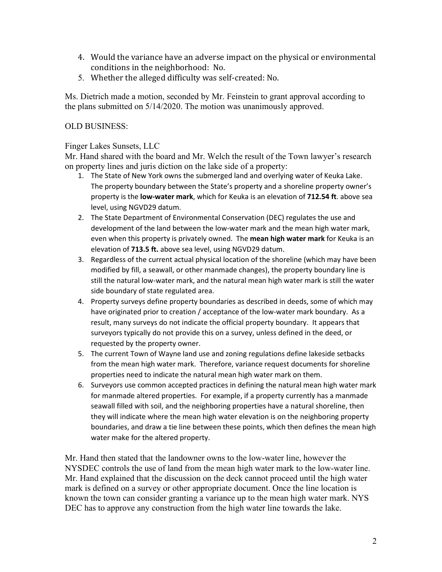- 4. Would the variance have an adverse impact on the physical or environmental conditions in the neighborhood: No.
- 5. Whether the alleged difficulty was self-created: No.

Ms. Dietrich made a motion, seconded by Mr. Feinstein to grant approval according to the plans submitted on 5/14/2020. The motion was unanimously approved.

## OLD BUSINESS:

#### Finger Lakes Sunsets, LLC

Mr. Hand shared with the board and Mr. Welch the result of the Town lawyer's research on property lines and juris diction on the lake side of a property:

- 1. The State of New York owns the submerged land and overlying water of Keuka Lake. The property boundary between the State's property and a shoreline property owner's property is the **low-water mark**, which for Keuka is an elevation of **712.54 ft**. above sea level, using NGVD29 datum.
- 2. The State Department of Environmental Conservation (DEC) regulates the use and development of the land between the low-water mark and the mean high water mark, even when this property is privately owned. The **mean high water mark** for Keuka is an elevation of **713.5 ft.** above sea level, using NGVD29 datum.
- 3. Regardless of the current actual physical location of the shoreline (which may have been modified by fill, a seawall, or other manmade changes), the property boundary line is still the natural low-water mark, and the natural mean high water mark is still the water side boundary of state regulated area.
- 4. Property surveys define property boundaries as described in deeds, some of which may have originated prior to creation / acceptance of the low-water mark boundary. As a result, many surveys do not indicate the official property boundary. It appears that surveyors typically do not provide this on a survey, unless defined in the deed, or requested by the property owner.
- 5. The current Town of Wayne land use and zoning regulations define lakeside setbacks from the mean high water mark. Therefore, variance request documents for shoreline properties need to indicate the natural mean high water mark on them.
- 6. Surveyors use common accepted practices in defining the natural mean high water mark for manmade altered properties. For example, if a property currently has a manmade seawall filled with soil, and the neighboring properties have a natural shoreline, then they will indicate where the mean high water elevation is on the neighboring property boundaries, and draw a tie line between these points, which then defines the mean high water make for the altered property.

Mr. Hand then stated that the landowner owns to the low-water line, however the NYSDEC controls the use of land from the mean high water mark to the low-water line. Mr. Hand explained that the discussion on the deck cannot proceed until the high water mark is defined on a survey or other appropriate document. Once the line location is known the town can consider granting a variance up to the mean high water mark. NYS DEC has to approve any construction from the high water line towards the lake.